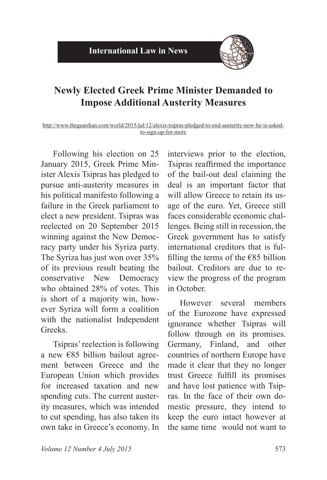

## **Newly Elected Greek Prime Minister Demanded to Impose Additional Austerity Measures**

http://www.theguardian.com/world/2015/jul/12/alexis-tsipras-pledged-to-end-austerity-now-he-is-askedto-sign-up-for-more

Following his election on 25 January 2015, Greek Prime Minister Alexis Tsipras has pledged to pursue anti-austerity measures in his political manifesto following a failure in the Greek parliament to elect a new president. Tsipras was reelected on 20 September 2015 winning against the New Democracy party under his Syriza party. The Syriza has just won over 35% of its previous result beating the conservative New Democracy who obtained  $28\%$  of votes. This is short of a majority win, however Syriza will form a coalition with the nationalist Independent Greeks.

Tsipras' reelection is following a new  $\epsilon$ 85 billion bailout agreement between Greece and the European Union which provides for increased taxation and new spending cuts. The current austerity measures, which was intended to cut spending, has also taken its own take in Greece's economy. In

interviews prior to the election, Tsipras reaffirmed the importance of the bail-out deal claiming the deal is an important factor that will allow Greece to retain its usage of the euro. Yet, Greece still faces considerable economic challenges. Being still in recession, the Greek government has to satisfy international creditors that is fulfilling the terms of the  $\epsilon$ 85 billion bailout. Creditors are due to review the progress of the program in October.

However several members of the Eurozone have expressed ignorance whether Tsipras will follow through on its promises. Germany, Finland, and other countries of northern Europe have made it clear that they no longer trust Greece fulfill its promises and have lost patience with Tsipras. In the face of their own domestic pressure, they intend to keep the euro intact however at the same time would not want to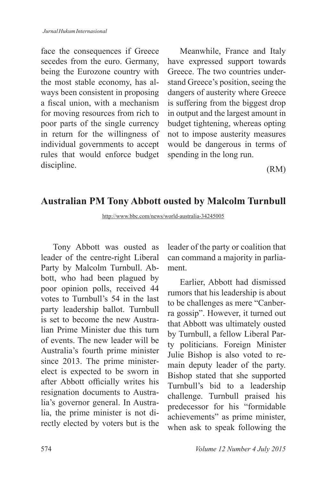face the consequences if Greece secedes from the euro. Germany, being the Eurozone country with the most stable economy, has always been consistent in proposing a fiscal union, with a mechanism for moving resources from rich to poor parts of the single currency in return for the willingness of individual governments to accept rules that would enforce budget discipline.

Meanwhile, France and Italy have expressed support towards Greece. The two countries understand Greece's position, seeing the dangers of austerity where Greece is suffering from the biggest drop in output and the largest amount in budget tightening, whereas opting not to impose austerity measures would be dangerous in terms of spending in the long run.

(RM)

### **Australian PM Tony Abbott ousted by Malcolm Turnbull**

http://www.bbc.com/news/world-australia-34245005

Tony Abbott was ousted as leader of the centre-right Liberal Party by Malcolm Turnbull. Abbott, who had been plagued by poor opinion polls, received 44 votes to Turnbull's 54 in the last party leadership ballot. Turnbull is set to become the new Australian Prime Minister due this turn of events. The new leader will be Australia's fourth prime minister since 2013. The prime ministerelect is expected to be sworn in after Abbott officially writes his resignation documents to Australia's governor general. In Australia, the prime minister is not directly elected by voters but is the

leader of the party or coalition that can command a majority in parliament.

Earlier, Abbott had dismissed rumors that his leadership is about to be challenges as mere "Canberra gossip". However, it turned out that Abbott was ultimately ousted by Turnbull, a fellow Liberal Party politicians. Foreign Minister Julie Bishop is also voted to remain deputy leader of the party. Bishop stated that she supported Turnbull's bid to a leadership challenge. Turnbull praised his predecessor for his "formidable achievements" as prime minister, when ask to speak following the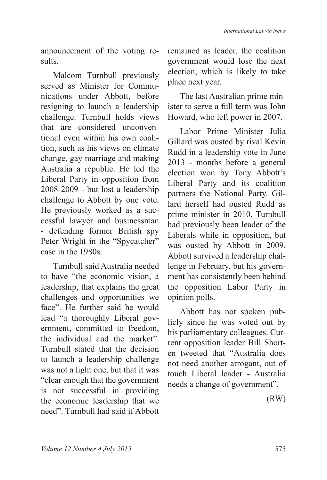announcement of the voting results.

Malcom Turnbull previously served as Minister for Communications under Abbott, before resigning to launch a leadership challenge. Turnbull holds views that are considered unconventional even within his own coalition, such as his views on climate change, gay marriage and making Australia a republic. He led the Liberal Party in opposition from  $2008 - 2009$  - but lost a leadership challenge to Abbott by one vote. He previously worked as a successful lawyer and businessman - defending former British spy Peter Wright in the "Spycatcher" case in the 1980s.

Turnbull said Australia needed to have "the economic vision, a leadership, that explains the great challenges and opportunities we face". He further said he would lead "a thoroughly Liberal government, committed to freedom, the individual and the market". Turnbull stated that the decision to launch a leadership challenge was not a light one, but that it was "clear enough that the government is not successful in providing the economic leadership that we need". Turnbull had said if Abbott

remained as leader, the coalition government would lose the next election, which is likely to take place next year.

The last Australian prime minister to serve a full term was John Howard, who left power in 2007.

Labor Prime Minister Julia Gillard was ousted by rival Kevin Rudd in a leadership vote in June  $2013$  - months before a general election won by Tony Abbott's Liberal Party and its coalition partners the National Party. Gillard herself had ousted Rudd as prime minister in 2010. Turnbull had previously been leader of the Liberals while in opposition, but was ousted by Abbott in 2009. Abbott survived a leadership challenge in February, but his government has consistently been behind the opposition Labor Party in opinion polls.

Abbott has not spoken publicly since he was voted out by his parliamentary colleagues. Current opposition leader Bill Shorten tweeted that "Australia does not need another arrogant, out of touch Liberal leader - Australia needs a change of government".

(RW)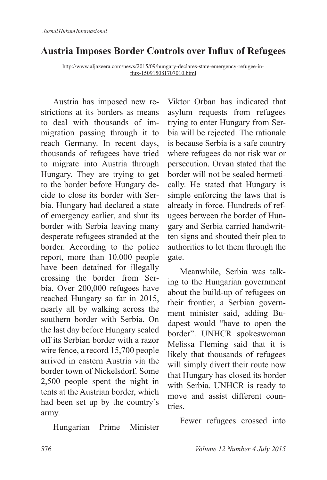# **Austria Imposes Border Controls over Influx of Refugees**

http://www.aljazeera.com/news/2015/09/hungary-declares-state-emergency-refugee-influx-150915081707010.html

Austria has imposed new restrictions at its borders as means to deal with thousands of immigration passing through it to reach Germany. In recent days, thousands of refugees have tried to migrate into Austria through Hungary. They are trying to get to the border before Hungary decide to close its border with Serbia. Hungary had declared a state of emergency earlier, and shut its border with Serbia leaving many desperate refugees stranded at the border. According to the police report, more than 10.000 people have been detained for illegally crossing the border from Serbia. Over 200,000 refugees have reached Hungary so far in 2015, nearly all by walking across the southern border with Serbia. On the last day before Hungary sealed off its Serbian border with a razor wire fence, a record  $15,700$  people arrived in eastern Austria via the border town of Nickelsdorf. Some  $2,500$  people spent the night in tents at the Austrian border, which had been set up by the country's army.

Hungarian Prime Minister

Viktor Orban has indicated that asylum requests from refugees trying to enter Hungary from Serbia will be rejected. The rationale is because Serbia is a safe country where refugees do not risk war or persecution. Orvan stated that the border will not be sealed hermetically. He stated that Hungary is simple enforcing the laws that is already in force. Hundreds of refugees between the border of Hungary and Serbia carried handwritten signs and shouted their plea to authorities to let them through the gate.

Meanwhile, Serbia was talking to the Hungarian government about the build-up of refugees on their frontier, a Serbian government minister said, adding Budapest would "have to open the border". UNHCR spokeswoman Melissa Fleming said that it is likely that thousands of refugees will simply divert their route now that Hungary has closed its border with Serbia. UNHCR is ready to move and assist different countries.

Fewer refugees crossed into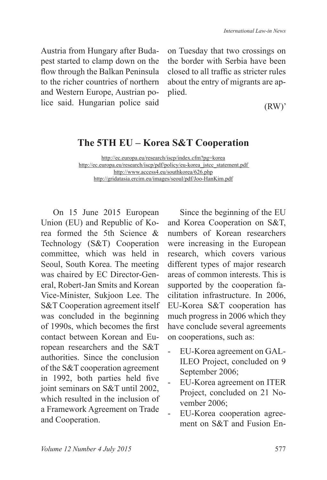Austria from Hungary after Budapest started to clamp down on the flow through the Balkan Peninsula to the richer countries of northern and Western Europe, Austrian police said. Hungarian police said

on Tuesday that two crossings on the border with Serbia have been closed to all traffic as stricter rules about the entry of migrants are applied.

(RW)'

## **The 5TH EU – Korea S&T Cooperation**

http://ec.europa.eu/research/iscp/index.cfm?pg=korea http://ec.europa.eu/research/iscp/pdf/policy/eu-korea\_istcc\_statement.pdf http://www.access4.eu/southkorea/626.php http://gridatasia.ercim.eu/images/seoul/pdf/Joo-HanKim.pdf

On 15 June 2015 European Union (EU) and Republic of Korea formed the 5th Science  $\&$ Technology (S&T) Cooperation committee, which was held in Seoul, South Korea. The meeting was chaired by EC Director-General, Robert-Jan Smits and Korean Vice-Minister, Sukjoon Lee. The S&T Cooperation agreement itself was concluded in the beginning of 1990s, which becomes the first contact between Korean and European researchers and the S&T authorities. Since the conclusion of the S&T cooperation agreement in 1992, both parties held five joint seminars on  $S&T$  until 2002. which resulted in the inclusion of a Framework Agreement on Trade and Cooperation.

Since the beginning of the EU and Korea Cooperation on S&T, numbers of Korean researchers were increasing in the European research, which covers various different types of major research areas of common interests. This is supported by the cooperation facilitation infrastructure. In 2006, EU-Korea S&T cooperation has much progress in 2006 which they have conclude several agreements on cooperations, such as:

- EU-Korea agreement on GAL-ILEO Project, concluded on 9 September 2006;
- EU-Korea agreement on ITER Project, concluded on 21 November 2006;
- EU-Korea cooperation agreement on S&T and Fusion En-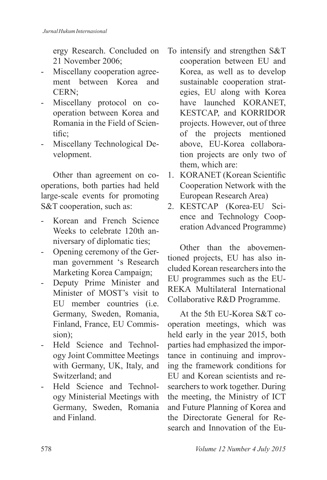ergy Research. Concluded on 21 November 2006:

- Miscellany cooperation agreement between Korea and CERN;
- Miscellany protocol on cooperation between Korea and Romania in the Field of Scientific:
- Miscellany Technological Development.

Other than agreement on cooperations, both parties had held large-scale events for promoting S&T cooperation, such as:

- Korean and French Science Weeks to celebrate 120th anniversary of diplomatic ties;
- Opening ceremony of the German government 's Research Marketing Korea Campaign;
- Deputy Prime Minister and Minister of MOST's visit to EU member countries (i.e. Germany, Sweden, Romania, Finland, France, EU Commission);
- Held Science and Technology Joint Committee Meetings with Germany, UK, Italy, and Switzerland; and
- Held Science and Technology Ministerial Meetings with Germany, Sweden, Romania and Finland.
- To intensify and strengthen S&T cooperation between EU and Korea, as well as to develop sustainable cooperation strategies, EU along with Korea have launched KORANET, KESTCAP, and KORRIDOR projects. However, out of three of the projects mentioned above, EU-Korea collaboration projects are only two of them, which are:
- 1. KORANET (Korean Scientific Cooperation Network with the European Research Area)
- 2. KESTCAP (Korea-EU Science and Technology Cooperation Advanced Programme)

Other than the abovementioned projects, EU has also included Korean researchers into the EU programmes such as the EU-REKA Multilateral International Collaborative R&D Programme.

At the 5th EU-Korea S&T cooperation meetings, which was held early in the year 2015, both parties had emphasized the importance in continuing and improving the framework conditions for EU and Korean scientists and researchers to work together. During the meeting, the Ministry of ICT and Future Planning of Korea and the Directorate General for Research and Innovation of the Eu-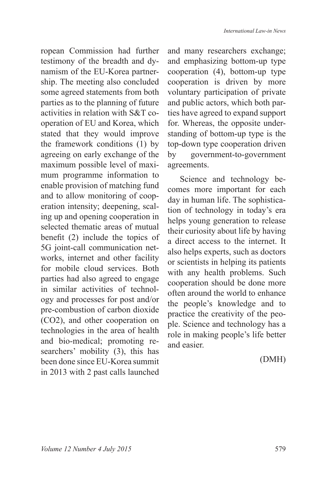ropean Commission had further testimony of the breadth and dynamism of the EU-Korea partnership. The meeting also concluded some agreed statements from both parties as to the planning of future activities in relation with S&T cooperation of EU and Korea, which stated that they would improve the framework conditions (1) by agreeing on early exchange of the maximum possible level of maximum programme information to enable provision of matching fund and to allow monitoring of cooperation intensity; deepening, scaling up and opening cooperation in selected thematic areas of mutual benefit  $(2)$  include the topics of 5G joint-call communication networks, internet and other facility for mobile cloud services. Both parties had also agreed to engage in similar activities of technology and processes for post and/or pre-combustion of carbon dioxide  $(CO2)$ , and other cooperation on technologies in the area of health and bio-medical; promoting researchers' mobility (3), this has been done since EU-Korea summit in 2013 with 2 past calls launched

and many researchers exchange; and emphasizing bottom-up type cooperation (4), bottom-up type cooperation is driven by more voluntary participation of private and public actors, which both parties have agreed to expand support for. Whereas, the opposite understanding of bottom-up type is the top-down type cooperation driven by government-to-government agreements.

Science and technology becomes more important for each day in human life. The sophistication of technology in today's era helps young generation to release their curiosity about life by having a direct access to the internet. It also helps experts, such as doctors or scientists in helping its patients with any health problems. Such cooperation should be done more often around the world to enhance the people's knowledge and to practice the creativity of the people. Science and technology has a role in making people's life better and easier.

#### (DMH)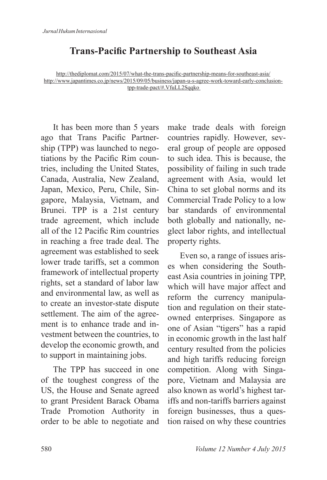## **Trans-Pacific Partnership to Southeast Asia**

http://thediplomat.com/2015/07/what-the-trans-pacific-partnership-means-for-southeast-asia/ http://www.japantimes.co.jp/news/2015/09/05/business/japan-u-s-agree-work-toward-early-conclusiontpp-trade-pact/#.VfuLL2Sqqko

It has been more than 5 years ago that Trans Pacific Partnership (TPP) was launched to negotiations by the Pacific Rim countries, including the United States, Canada, Australia, New Zealand, Japan, Mexico, Peru, Chile, Singapore, Malaysia, Vietnam, and Brunei. TPP is a 21st century trade agreement, which include all of the 12 Pacific Rim countries in reaching a free trade deal. The agreement was established to seek lower trade tariffs, set a common framework of intellectual property rights, set a standard of labor law and environmental law, as well as to create an investor-state dispute settlement. The aim of the agreement is to enhance trade and investment between the countries, to develop the economic growth, and to support in maintaining jobs.

The TPP has succeed in one of the toughest congress of the US, the House and Senate agreed to grant President Barack Obama Trade Promotion Authority in order to be able to negotiate and make trade deals with foreign countries rapidly. However, several group of people are opposed to such idea. This is because, the possibility of failing in such trade agreement with Asia, would let China to set global norms and its Commercial Trade Policy to a low bar standards of environmental both globally and nationally, neglect labor rights, and intellectual property rights.

Even so, a range of issues arises when considering the Southeast Asia countries in joining TPP, which will have major affect and reform the currency manipulation and regulation on their stateowned enterprises. Singapore as one of Asian "tigers" has a rapid in economic growth in the last half century resulted from the policies and high tariffs reducing foreign competition. Along with Singapore, Vietnam and Malaysia are also known as world's highest tariffs and non-tariffs barriers against foreign businesses, thus a question raised on why these countries